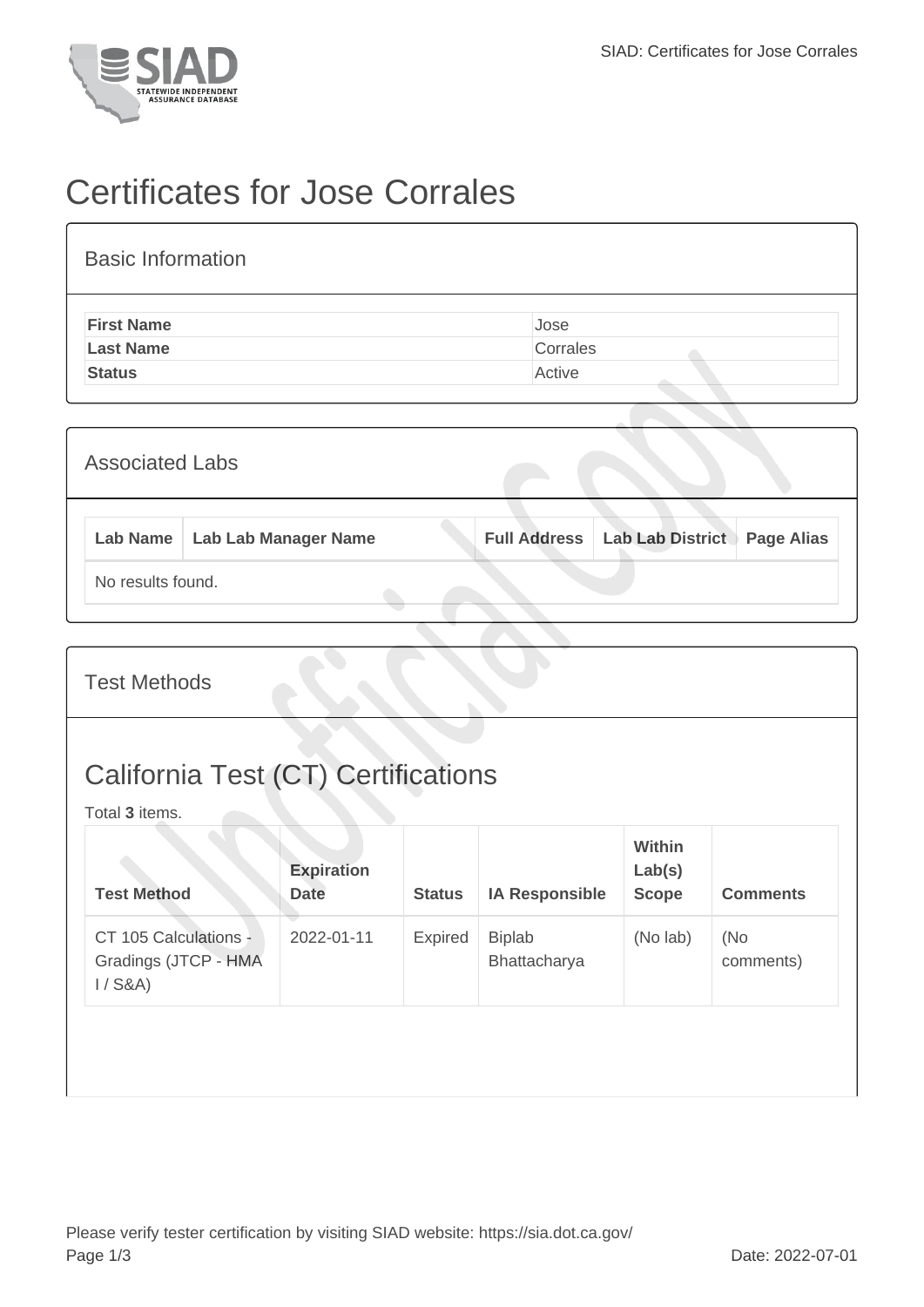

## Certificates for Jose Corrales

| <b>Basic Information</b> |          |
|--------------------------|----------|
| <b>First Name</b>        | Jose     |
| <b>Last Name</b>         | Corrales |
| <b>Status</b>            | Active   |
|                          |          |

|                   | <b>Associated Labs</b> |                                 |  |                                          |                   |  |
|-------------------|------------------------|---------------------------------|--|------------------------------------------|-------------------|--|
|                   |                        | Lab Name   Lab Lab Manager Name |  | <b>Full Address   Lab Lab District  </b> | <b>Page Alias</b> |  |
| No results found. |                        |                                 |  |                                          |                   |  |

|  | <b>Test Methods</b> |
|--|---------------------|
|--|---------------------|

## California Test (CT) Certifications

Total **3** items.

| <b>Test Method</b>                                         | <b>Expiration</b><br><b>Date</b> | <b>Status</b>  | <b>IA Responsible</b>         | <b>Within</b><br>Lab(s)<br><b>Scope</b> | <b>Comments</b>  |
|------------------------------------------------------------|----------------------------------|----------------|-------------------------------|-----------------------------------------|------------------|
| CT 105 Calculations -<br>Gradings (JTCP - HMA<br>$1/$ S&A) | 2022-01-11                       | <b>Expired</b> | <b>Biplab</b><br>Bhattacharya | (No lab)                                | (No<br>comments) |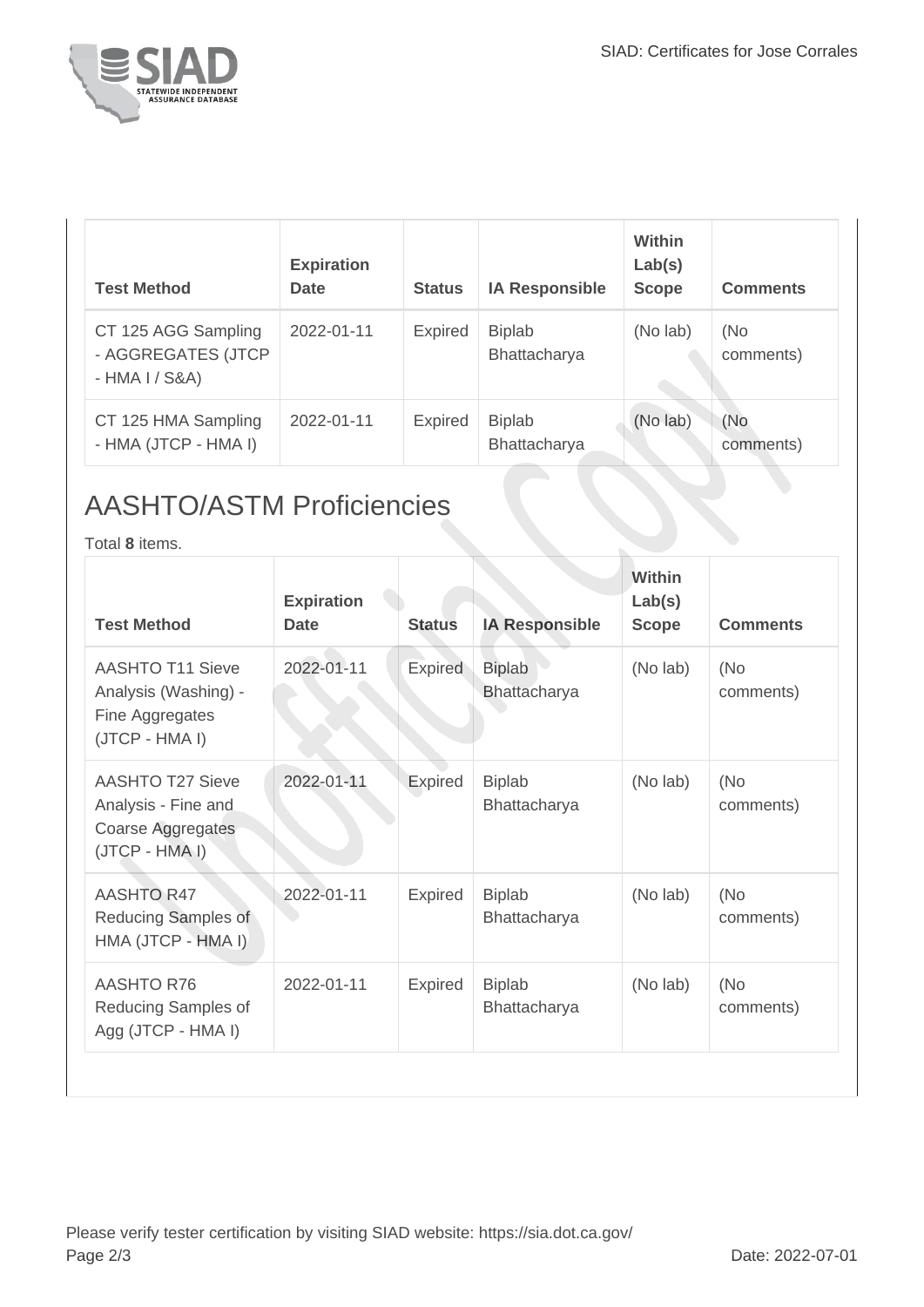

| <b>Test Method</b>                                           | <b>Expiration</b><br>Date | <b>Status</b>  | <b>IA Responsible</b>         | Within<br>Lab(s)<br><b>Scope</b> | <b>Comments</b>  |
|--------------------------------------------------------------|---------------------------|----------------|-------------------------------|----------------------------------|------------------|
| CT 125 AGG Sampling<br>- AGGREGATES (JTCP<br>$-HMA I / S&A)$ | 2022-01-11                | <b>Expired</b> | <b>Biplab</b><br>Bhattacharya | (No lab)                         | (No<br>comments) |
| CT 125 HMA Sampling<br>- HMA (JTCP - HMA I)                  | 2022-01-11                | <b>Expired</b> | <b>Biplab</b><br>Bhattacharya | (No lab)                         | (No<br>comments) |

## AASHTO/ASTM Proficiencies

Total **8** items.

| <b>AASHTO T11 Sieve</b><br>Analysis (Washing) -                                       |            |                | <b>IA Responsible</b>         | <b>Scope</b> | <b>Comments</b>  |
|---------------------------------------------------------------------------------------|------------|----------------|-------------------------------|--------------|------------------|
| Fine Aggregates<br>(JTCP - HMA I)                                                     | 2022-01-11 | <b>Expired</b> | <b>Biplab</b><br>Bhattacharya | (No lab)     | (No<br>comments) |
| <b>AASHTO T27 Sieve</b><br>Analysis - Fine and<br>Coarse Aggregates<br>(JTCP - HMA I) | 2022-01-11 | Expired        | <b>Biplab</b><br>Bhattacharya | (No lab)     | (No<br>comments) |
| AASHTO R47<br>Reducing Samples of<br>HMA (JTCP - HMA I)                               | 2022-01-11 | <b>Expired</b> | <b>Biplab</b><br>Bhattacharya | (No lab)     | (No<br>comments) |
| <b>AASHTO R76</b><br>Reducing Samples of<br>Agg (JTCP - HMA I)                        | 2022-01-11 | <b>Expired</b> | <b>Biplab</b><br>Bhattacharya | (No lab)     | (No<br>comments) |